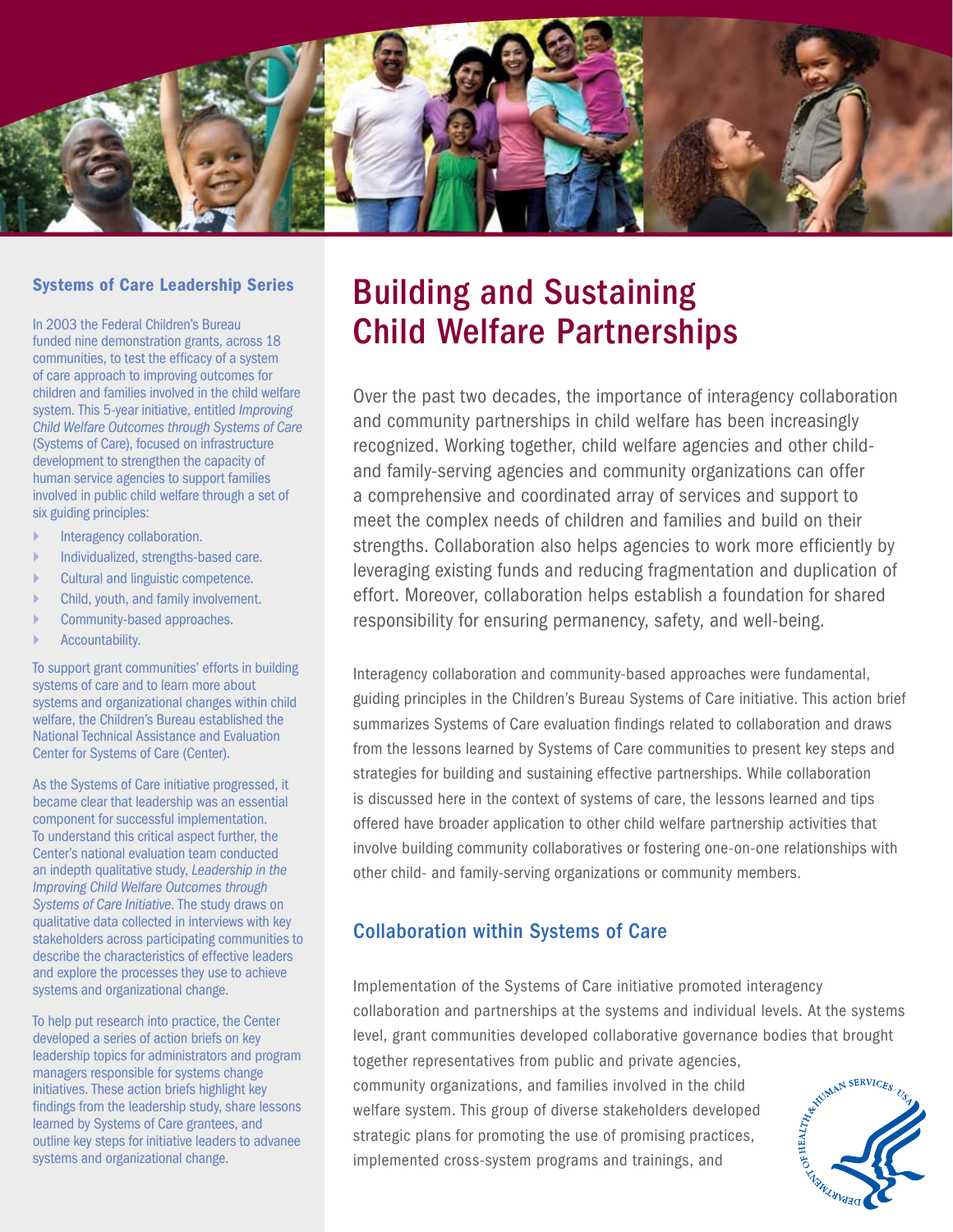

#### Systems of Care Leadership Series

In 2003 the Federal Children's Bureau funded nine demonstration grants, across 18 communities, to test the efficacy of a system of care approach to improving outcomes for children and families involved in the child welfare system. This 5-year initiative, entitled *Improving Child Welfare Outcomes through Systems of Care*  (Systems of Care), focused on infrastructure development to strengthen the capacity of human service agencies to support families involved in public child welfare through a set of six guiding principles:

- Interagency collaboration.
- ` Individualized, strengths-based care.
- ` Cultural and linguistic competence.
- ` Child, youth, and family involvement.
- Community-based approaches.
- Accountability.

To support grant communities' efforts in building systems of care and to learn more about systems and organizational changes within child welfare, the Children's Bureau established the National Technical Assistance and Evaluation Center for Systems of Care (Center).

As the Systems of Care initiative progressed, it became clear that leadership was an essential component for successful implementation. To understand this critical aspect further, the Center's national evaluation team conducted an indepth qualitative study, *Leadership in the Improving Child Welfare Outcomes through Systems of Care Initiative*. The study draws on qualitative data collected in interviews with key stakeholders across participating communities to describe the characteristics of effective leaders and explore the processes they use to achieve systems and organizational change.

To help put research into practice, the Center developed a series of action briefs on key leadership topics for administrators and program managers responsible for systems change initiatives. These action briefs highlight key findings from the leadership study, share lessons learned by Systems of Care grantees, and outline key steps for initiative leaders to advanee systems and organizational change.

# Building and Sustaining Child Welfare Partnerships

Over the past two decades, the importance of interagency collaboration and community partnerships in child welfare has been increasingly recognized. Working together, child welfare agencies and other childand family-serving agencies and community organizations can offer a comprehensive and coordinated array of services and support to meet the complex needs of children and families and build on their strengths. Collaboration also helps agencies to work more efficiently by leveraging existing funds and reducing fragmentation and duplication of effort. Moreover, collaboration helps establish a foundation for shared responsibility for ensuring permanency, safety, and well-being.

Interagency collaboration and community-based approaches were fundamental, guiding principles in the Children's Bureau Systems of Care initiative. This action brief summarizes Systems of Care evaluation findings related to collaboration and draws from the lessons learned by Systems of Care communities to present key steps and strategies for building and sustaining effective partnerships. While collaboration is discussed here in the context of systems of care, the lessons learned and tips offered have broader application to other child welfare partnership activities that involve building community collaboratives or fostering one-on-one relationships with other child- and family-serving organizations or community members.

#### Collaboration within Systems of Care

Implementation of the Systems of Care initiative promoted interagency collaboration and partnerships at the systems and individual levels. At the systems together representatives from public and private agencies,

level, grant communities developed collaborative governance bodies that brought together representatives from public and private agencies, community organizations, and families involved in the child welfare system. This g community organizations, and families involved in the child welfare system. This group of diverse stakeholders developed strategic plans for promoting the use of promising practices, implemented cross-system programs and trainings, and

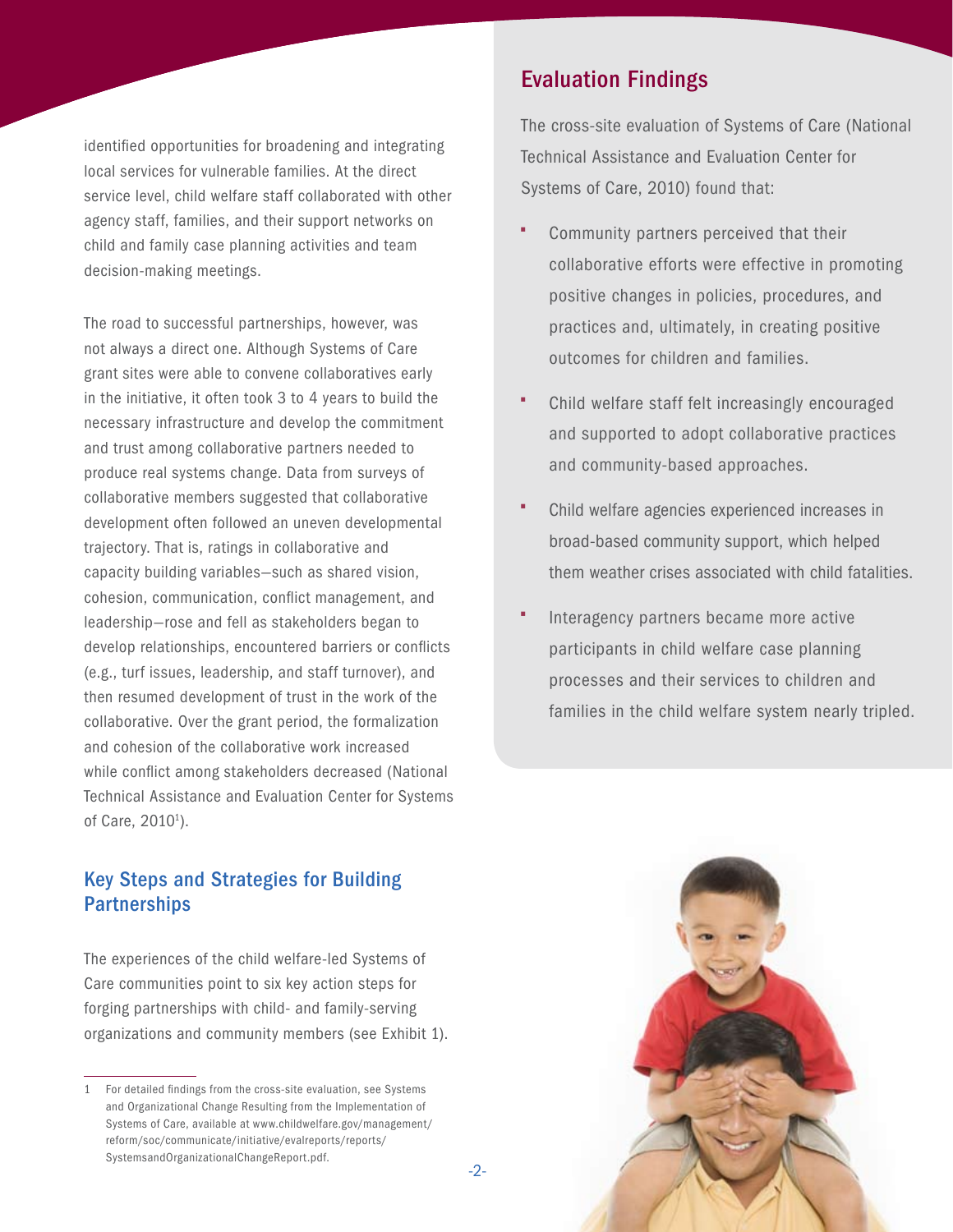identified opportunities for broadening and integrating local services for vulnerable families. At the direct service level, child welfare staff collaborated with other agency staff, families, and their support networks on child and family case planning activities and team decision-making meetings.

The road to successful partnerships, however, was not always a direct one. Although Systems of Care grant sites were able to convene collaboratives early in the initiative, it often took 3 to 4 years to build the necessary infrastructure and develop the commitment and trust among collaborative partners needed to produce real systems change. Data from surveys of collaborative members suggested that collaborative development often followed an uneven developmental trajectory. That is, ratings in collaborative and capacity building variables—such as shared vision, cohesion, communication, conflict management, and leadership—rose and fell as stakeholders began to develop relationships, encountered barriers or conflicts (e.g., turf issues, leadership, and staff turnover), and then resumed development of trust in the work of the collaborative. Over the grant period, the formalization and cohesion of the collaborative work increased while conflict among stakeholders decreased (National Technical Assistance and Evaluation Center for Systems of Care, 2010<sup>1</sup>).

### Key Steps and Strategies for Building **Partnerships**

The experiences of the child welfare-led Systems of Care communities point to six key action steps for forging partnerships with child- and family-serving organizations and community members (see Exhibit 1).

## Evaluation Findings

The cross-site evaluation of Systems of Care (National Technical Assistance and Evaluation Center for Systems of Care, 2010) found that:

- Community partners perceived that their collaborative efforts were effective in promoting positive changes in policies, procedures, and practices and, ultimately, in creating positive outcomes for children and families.
- Child welfare staff felt increasingly encouraged and supported to adopt collaborative practices and community-based approaches.
- Child welfare agencies experienced increases in broad-based community support, which helped them weather crises associated with child fatalities.
- Interagency partners became more active participants in child welfare case planning processes and their services to children and families in the child welfare system nearly tripled.



<sup>1</sup> For detailed findings from the cross-site evaluation, see Systems and Organizational Change Resulting from the Implementation of Systems of Care, available at [www.childwelfare.gov/management/](www.childwelfare.gov/management/reform/soc/communicate/initiative/evalreports/reports/SystemsandOrganizationalChangeReport.pdf) [reform/soc/communicate/initiative/evalreports/reports/](www.childwelfare.gov/management/reform/soc/communicate/initiative/evalreports/reports/SystemsandOrganizationalChangeReport.pdf) [SystemsandOrganizationalChangeReport.pdf.](www.childwelfare.gov/management/reform/soc/communicate/initiative/evalreports/reports/SystemsandOrganizationalChangeReport.pdf)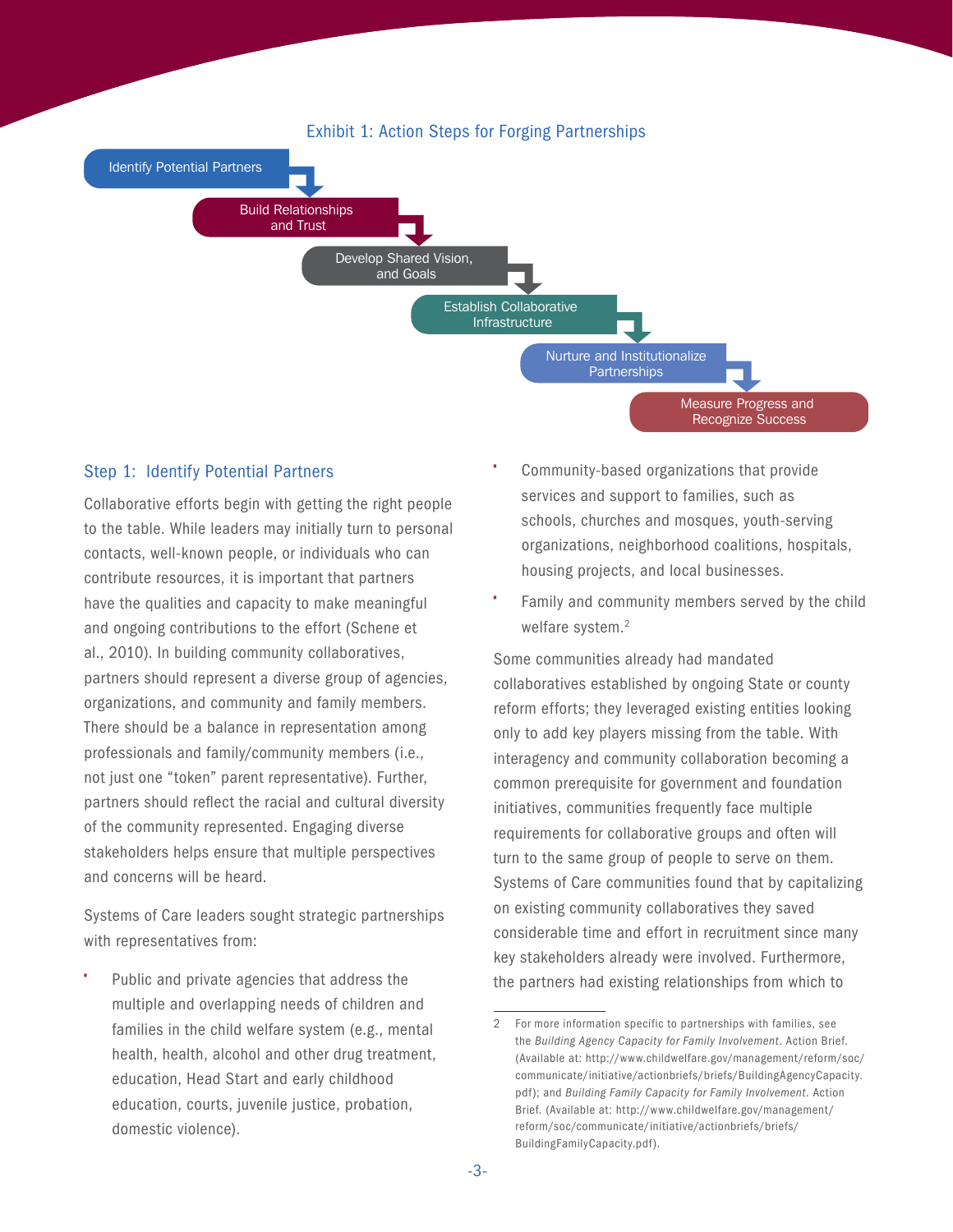

#### Step 1: Identify Potential Partners

Collaborative efforts begin with getting the right people to the table. While leaders may initially turn to personal contacts, well-known people, or individuals who can contribute resources, it is important that partners have the qualities and capacity to make meaningful and ongoing contributions to the effort (Schene et al., 2010). In building community collaboratives, partners should represent a diverse group of agencies, organizations, and community and family members. There should be a balance in representation among professionals and family/community members (i.e., not just one "token" parent representative). Further, partners should reflect the racial and cultural diversity of the community represented. Engaging diverse stakeholders helps ensure that multiple perspectives and concerns will be heard.

Systems of Care leaders sought strategic partnerships with representatives from:

• Public and private agencies that address the multiple and overlapping needs of children and families in the child welfare system (e.g., mental health, health, alcohol and other drug treatment, education, Head Start and early childhood education, courts, juvenile justice, probation, domestic violence).

- Community-based organizations that provide services and support to families, such as schools, churches and mosques, youth-serving organizations, neighborhood coalitions, hospitals, housing projects, and local businesses.
- Family and community members served by the child welfare system.<sup>2</sup>

Some communities already had mandated collaboratives established by ongoing State or county reform efforts; they leveraged existing entities looking only to add key players missing from the table. With interagency and community collaboration becoming a common prerequisite for government and foundation initiatives, communities frequently face multiple requirements for collaborative groups and often will turn to the same group of people to serve on them. Systems of Care communities found that by capitalizing on existing community collaboratives they saved considerable time and effort in recruitment since many key stakeholders already were involved. Furthermore, the partners had existing relationships from which to

<sup>2</sup> For more information specific to partnerships with families, see the *Building Agency Capacity for Family Involvement*. Action Brief. (Available at: [http://www.childwelfare.gov/management/reform/soc/](http://www.childwelfare.gov/management/reform/soc/communicate/initiative/actionbriefs/briefs/BuildingAgencyCapacity.pdf) [communicate/initiative/actionbriefs/briefs/BuildingAgencyCapacity.](http://www.childwelfare.gov/management/reform/soc/communicate/initiative/actionbriefs/briefs/BuildingAgencyCapacity.pdf) [pdf](http://www.childwelfare.gov/management/reform/soc/communicate/initiative/actionbriefs/briefs/BuildingAgencyCapacity.pdf)); and *Building Family Capacity for Family Involvement*. Action Brief. (Available at: [http://www.childwelfare.gov/management/](http://www.childwelfare.gov/management/reform/soc/communicate/initiative/actionbriefs/briefs/BuildingFamilyCapacity.pdf) [reform/soc/communicate/initiative/actionbriefs/briefs/](http://www.childwelfare.gov/management/reform/soc/communicate/initiative/actionbriefs/briefs/BuildingFamilyCapacity.pdf) [BuildingFamilyCapacity.pdf\)](http://www.childwelfare.gov/management/reform/soc/communicate/initiative/actionbriefs/briefs/BuildingFamilyCapacity.pdf).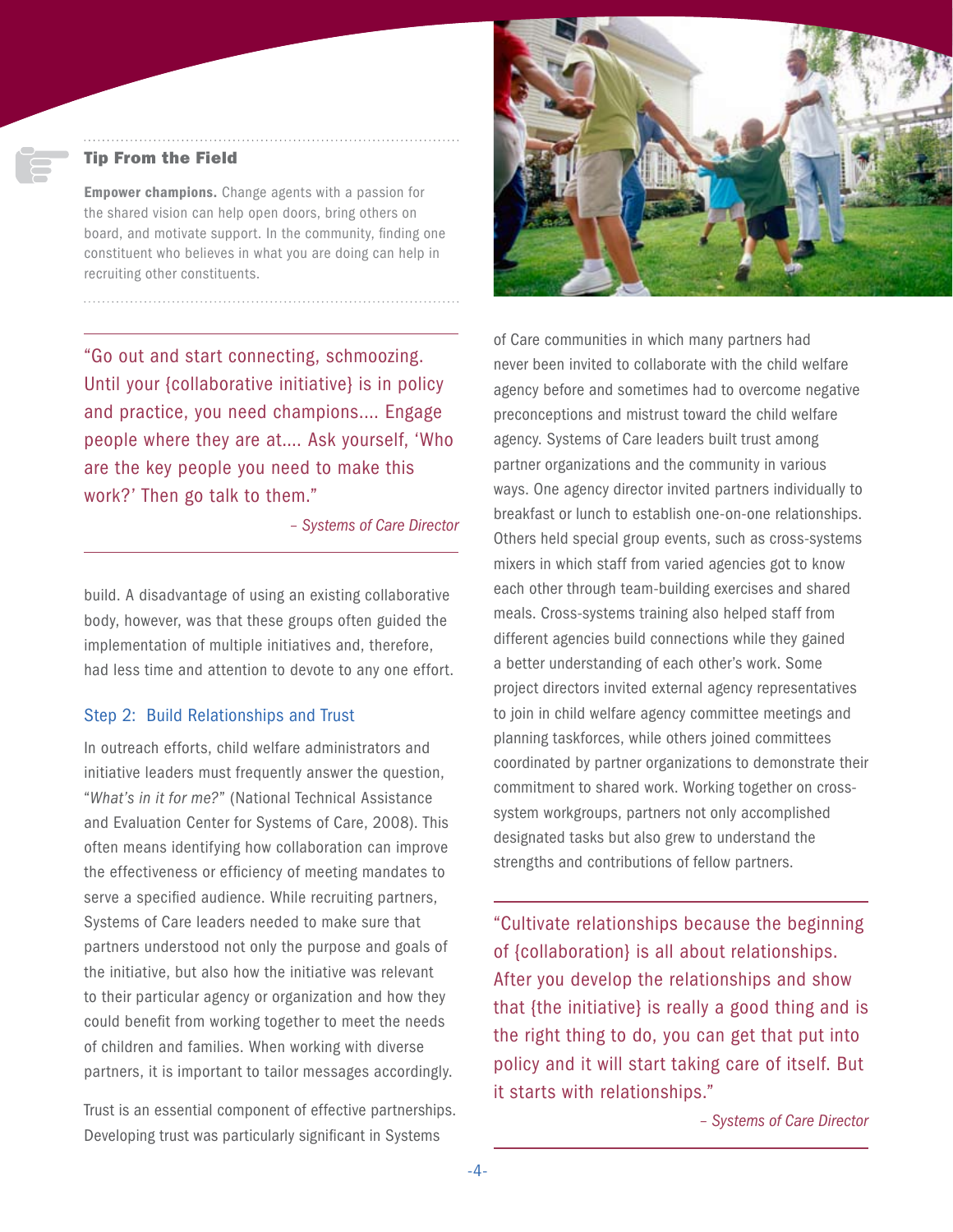#### Tip From the Field

**Empower champions.** Change agents with a passion for the shared vision can help open doors, bring others on board, and motivate support. In the community, finding one constituent who believes in what you are doing can help in recruiting other constituents.

"Go out and start connecting, schmoozing. Until your {collaborative initiative} is in policy and practice, you need champions.... Engage people where they are at…. Ask yourself, 'Who are the key people you need to make this work?' Then go talk to them."

*– Systems of Care Director*

build. A disadvantage of using an existing collaborative body, however, was that these groups often guided the implementation of multiple initiatives and, therefore, had less time and attention to devote to any one effort.

#### Step 2: Build Relationships and Trust

In outreach efforts, child welfare administrators and initiative leaders must frequently answer the question, "*What's in it for me?*" (National Technical Assistance and Evaluation Center for Systems of Care, 2008). This often means identifying how collaboration can improve the effectiveness or efficiency of meeting mandates to serve a specified audience. While recruiting partners, Systems of Care leaders needed to make sure that partners understood not only the purpose and goals of the initiative, but also how the initiative was relevant to their particular agency or organization and how they could benefit from working together to meet the needs of children and families. When working with diverse partners, it is important to tailor messages accordingly.

Trust is an essential component of effective partnerships. Developing trust was particularly significant in Systems



of Care communities in which many partners had never been invited to collaborate with the child welfare agency before and sometimes had to overcome negative preconceptions and mistrust toward the child welfare agency. Systems of Care leaders built trust among partner organizations and the community in various ways. One agency director invited partners individually to breakfast or lunch to establish one-on-one relationships. Others held special group events, such as cross-systems mixers in which staff from varied agencies got to know each other through team-building exercises and shared meals. Cross-systems training also helped staff from different agencies build connections while they gained a better understanding of each other's work. Some project directors invited external agency representatives to join in child welfare agency committee meetings and planning taskforces, while others joined committees coordinated by partner organizations to demonstrate their commitment to shared work. Working together on crosssystem workgroups, partners not only accomplished designated tasks but also grew to understand the strengths and contributions of fellow partners.

"Cultivate relationships because the beginning of {collaboration} is all about relationships. After you develop the relationships and show that {the initiative} is really a good thing and is the right thing to do, you can get that put into policy and it will start taking care of itself. But it starts with relationships."

*– Systems of Care Director*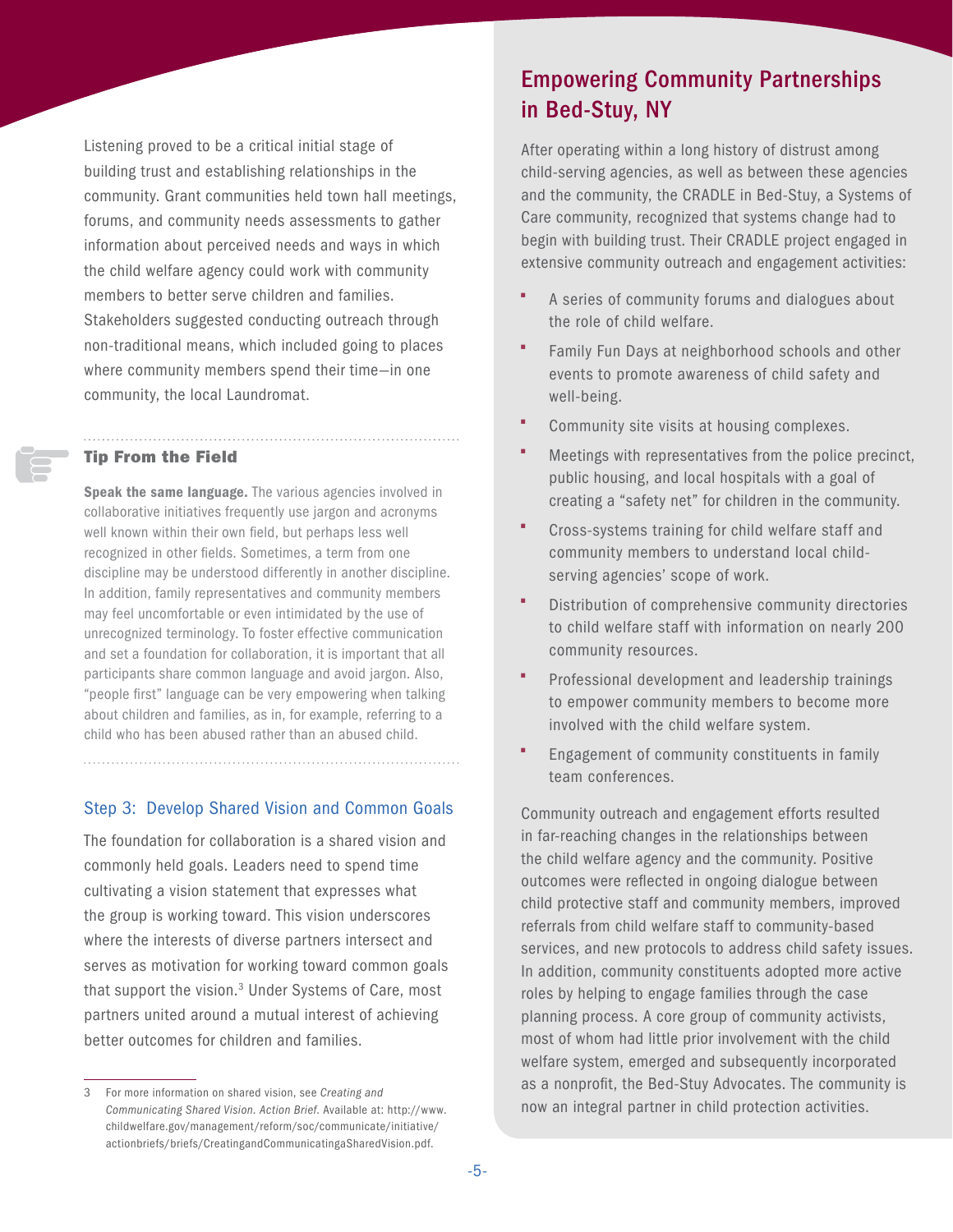Listening proved to be a critical initial stage of building trust and establishing relationships in the community. Grant communities held town hall meetings, forums, and community needs assessments to gather information about perceived needs and ways in which the child welfare agency could work with community members to better serve children and families. Stakeholders suggested conducting outreach through non-traditional means, which included going to places where community members spend their time—in one community, the local Laundromat.

#### Tip From the Field

Speak the same language. The various agencies involved in collaborative initiatives frequently use jargon and acronyms well known within their own field, but perhaps less well recognized in other fields. Sometimes, a term from one discipline may be understood differently in another discipline. In addition, family representatives and community members may feel uncomfortable or even intimidated by the use of unrecognized terminology. To foster effective communication and set a foundation for collaboration, it is important that all participants share common language and avoid jargon. Also, "people first" language can be very empowering when talking about children and families, as in, for example, referring to a child who has been abused rather than an abused child.

#### Step 3: Develop Shared Vision and Common Goals

The foundation for collaboration is a shared vision and commonly held goals. Leaders need to spend time cultivating a vision statement that expresses what the group is working toward. This vision underscores where the interests of diverse partners intersect and serves as motivation for working toward common goals that support the vision.<sup>3</sup> Under Systems of Care, most partners united around a mutual interest of achieving better outcomes for children and families.

## Empowering Community Partnerships in Bed-Stuy, NY

After operating within a long history of distrust among child-serving agencies, as well as between these agencies and the community, the CRADLE in Bed-Stuy, a Systems of Care community, recognized that systems change had to begin with building trust. Their CRADLE project engaged in extensive community outreach and engagement activities:

- A series of community forums and dialogues about the role of child welfare.
- Family Fun Days at neighborhood schools and other events to promote awareness of child safety and well-being.
- Community site visits at housing complexes.
- Meetings with representatives from the police precinct, public housing, and local hospitals with a goal of creating a "safety net" for children in the community.
- Cross-systems training for child welfare staff and community members to understand local childserving agencies' scope of work.
- Distribution of comprehensive community directories to child welfare staff with information on nearly 200 community resources.
- Professional development and leadership trainings to empower community members to become more involved with the child welfare system.
- Engagement of community constituents in family team conferences.

Community outreach and engagement efforts resulted in far-reaching changes in the relationships between the child welfare agency and the community. Positive outcomes were reflected in ongoing dialogue between child protective staff and community members, improved referrals from child welfare staff to community-based services, and new protocols to address child safety issues. In addition, community constituents adopted more active roles by helping to engage families through the case planning process. A core group of community activists, most of whom had little prior involvement with the child welfare system, emerged and subsequently incorporated as a nonprofit, the Bed-Stuy Advocates. The community is now an integral partner in child protection activities.

<sup>3</sup> For more information on shared vision, see *Creating and Communicating Shared Vision. Action Brief*. Available at: [http://www.](http://www.childwelfare.gov/management/reform/soc/communicate/initiative/actionbriefs/briefs/CreatingandCommunicatingaSharedVision.pdf) [childwelfare.gov/management/reform/soc/communicate/initiative/](http://www.childwelfare.gov/management/reform/soc/communicate/initiative/actionbriefs/briefs/CreatingandCommunicatingaSharedVision.pdf) [actionbriefs/briefs/CreatingandCommunicatingaSharedVision.pdf.](http://www.childwelfare.gov/management/reform/soc/communicate/initiative/actionbriefs/briefs/CreatingandCommunicatingaSharedVision.pdf)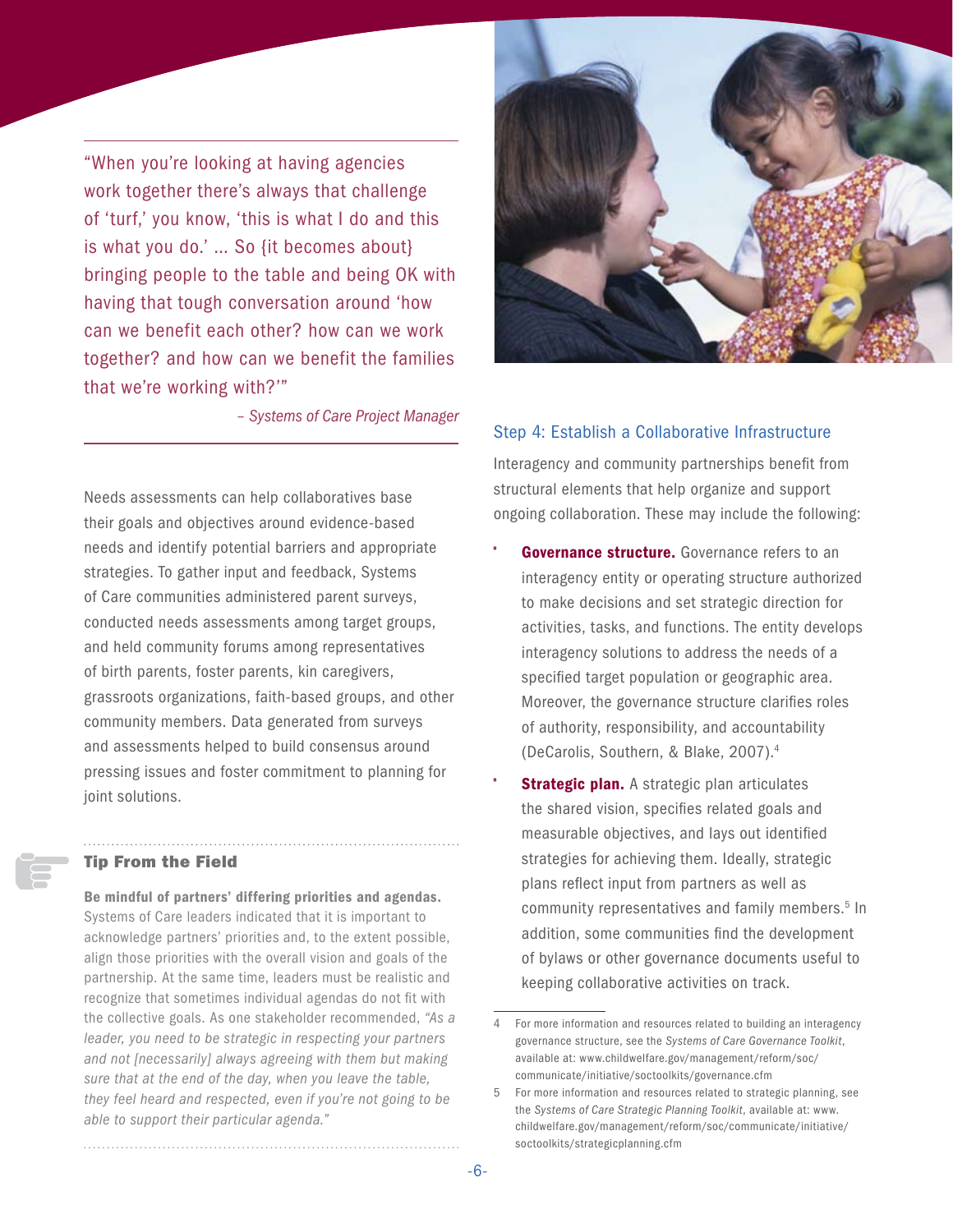"When you're looking at having agencies work together there's always that challenge of 'turf,' you know, 'this is what I do and this is what you do.' … So {it becomes about} bringing people to the table and being OK with having that tough conversation around 'how can we benefit each other? how can we work together? and how can we benefit the families that we're working with?'"

*– Systems of Care Project Manager*

Needs assessments can help collaboratives base their goals and objectives around evidence-based needs and identify potential barriers and appropriate strategies. To gather input and feedback, Systems of Care communities administered parent surveys, conducted needs assessments among target groups, and held community forums among representatives of birth parents, foster parents, kin caregivers, grassroots organizations, faith-based groups, and other community members. Data generated from surveys and assessments helped to build consensus around pressing issues and foster commitment to planning for joint solutions.

#### Tip From the Field

Be mindful of partners' differing priorities and agendas. Systems of Care leaders indicated that it is important to acknowledge partners' priorities and, to the extent possible, align those priorities with the overall vision and goals of the partnership. At the same time, leaders must be realistic and recognize that sometimes individual agendas do not fit with the collective goals. As one stakeholder recommended, *"As a leader, you need to be strategic in respecting your partners and not [necessarily] always agreeing with them but making sure that at the end of the day, when you leave the table, they feel heard and respected, even if you're not going to be able to support their particular agenda."*

#### Step 4: Establish a Collaborative Infrastructure

Interagency and community partnerships benefit from structural elements that help organize and support ongoing collaboration. These may include the following:

- Governance structure. Governance refers to an interagency entity or operating structure authorized to make decisions and set strategic direction for activities, tasks, and functions. The entity develops interagency solutions to address the needs of a specified target population or geographic area. Moreover, the governance structure clarifies roles of authority, responsibility, and accountability (DeCarolis, Southern, & Blake, 2007).4
- **Strategic plan.** A strategic plan articulates the shared vision, specifies related goals and measurable objectives, and lays out identified strategies for achieving them. Ideally, strategic plans reflect input from partners as well as community representatives and family members.<sup>5</sup> In addition, some communities find the development of bylaws or other governance documents useful to keeping collaborative activities on track.

<sup>4</sup> For more information and resources related to building an interagency governance structure, see the *Systems of Care Governance Toolkit*, available at: [www.childwelfare.gov/management/reform/soc/](www.childwelfare.gov/management/reform/soc/communicate/initiative/soctoolkits/governance.cfm) [communicate/initiative/soctoolkits/governance.cfm](www.childwelfare.gov/management/reform/soc/communicate/initiative/soctoolkits/governance.cfm)

<sup>5</sup> For more information and resources related to strategic planning, see the *Systems of Care Strategic Planning Toolkit*, available at: [www.](www.childwelfare.gov/management/reform/soc/communicate/initiative/soctoolkits/strategicplanning.cfm) [childwelfare.gov/management/reform/soc/communicate/initiative/](www.childwelfare.gov/management/reform/soc/communicate/initiative/soctoolkits/strategicplanning.cfm) [soctoolkits/strategicplanning.cfm](www.childwelfare.gov/management/reform/soc/communicate/initiative/soctoolkits/strategicplanning.cfm)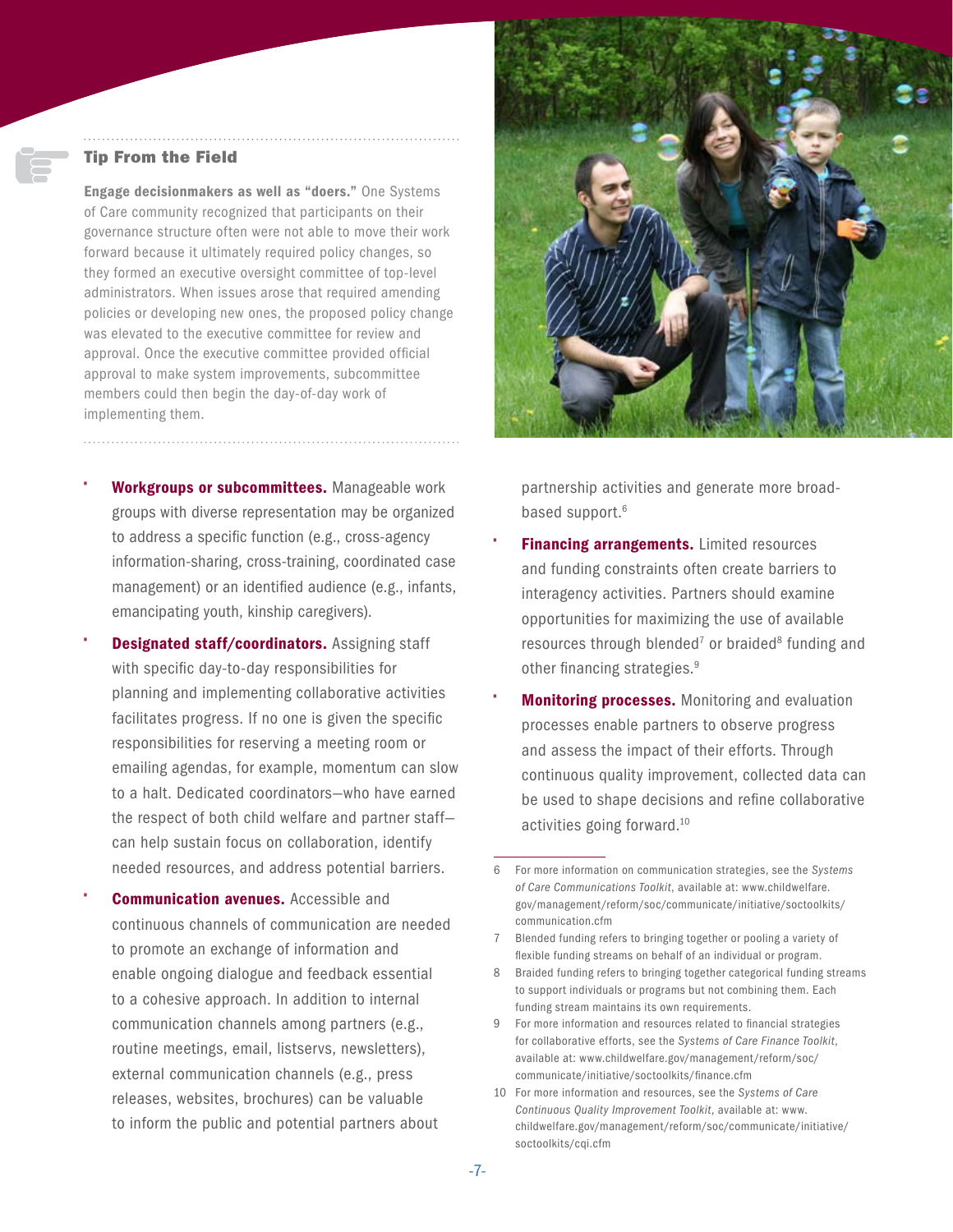#### Tip From the Field

Engage decisionmakers as well as "doers." One Systems of Care community recognized that participants on their governance structure often were not able to move their work forward because it ultimately required policy changes, so they formed an executive oversight committee of top-level administrators. When issues arose that required amending policies or developing new ones, the proposed policy change was elevated to the executive committee for review and approval. Once the executive committee provided official approval to make system improvements, subcommittee members could then begin the day-of-day work of implementing them.

Workgroups or subcommittees. Manageable work groups with diverse representation may be organized to address a specific function (e.g., cross-agency information-sharing, cross-training, coordinated case management) or an identified audience (e.g., infants, emancipating youth, kinship caregivers).

- **Designated staff/coordinators.** Assigning staff with specific day-to-day responsibilities for planning and implementing collaborative activities facilitates progress. If no one is given the specific responsibilities for reserving a meeting room or emailing agendas, for example, momentum can slow to a halt. Dedicated coordinators—who have earned the respect of both child welfare and partner staff can help sustain focus on collaboration, identify needed resources, and address potential barriers.
- **Communication avenues.** Accessible and continuous channels of communication are needed to promote an exchange of information and enable ongoing dialogue and feedback essential to a cohesive approach. In addition to internal communication channels among partners (e.g., routine meetings, email, listservs, newsletters), external communication channels (e.g., press releases, websites, brochures) can be valuable to inform the public and potential partners about



partnership activities and generate more broadbased support.<sup>6</sup>

- **Financing arrangements.** Limited resources and funding constraints often create barriers to interagency activities. Partners should examine opportunities for maximizing the use of available resources through blended<sup>7</sup> or braided<sup>8</sup> funding and other financing strategies.<sup>9</sup>
- **Monitoring processes.** Monitoring and evaluation processes enable partners to observe progress and assess the impact of their efforts. Through continuous quality improvement, collected data can be used to shape decisions and refine collaborative activities going forward.10

<sup>6</sup> For more information on communication strategies, see the *Systems of Care Communications Toolkit*, available at: [www.childwelfare.](www.childwelfare.gov/management/reform/soc/communicate/initiative/soctoolkits/communication.cfm) [gov/management/reform/soc/communicate/initiative/soctoolkits/](www.childwelfare.gov/management/reform/soc/communicate/initiative/soctoolkits/communication.cfm) [communication.cfm](www.childwelfare.gov/management/reform/soc/communicate/initiative/soctoolkits/communication.cfm)

<sup>7</sup> Blended funding refers to bringing together or pooling a variety of flexible funding streams on behalf of an individual or program.

<sup>8</sup> Braided funding refers to bringing together categorical funding streams to support individuals or programs but not combining them. Each funding stream maintains its own requirements.

<sup>9</sup> For more information and resources related to financial strategies for collaborative efforts, see the *Systems of Care Finance Toolkit*, available at: [www.childwelfare.gov/management/reform/soc/](www.childwelfare.gov/management/reform/soc/communicate/initiative/soctoolkits/finance.cfm) [communicate/initiative/soctoolkits/finance.cfm](www.childwelfare.gov/management/reform/soc/communicate/initiative/soctoolkits/finance.cfm)

<sup>10</sup> For more information and resources, see the *Systems of Care Continuous Quality Improvement Toolkit*, available at: [www.](www.childwelfare.gov/management/reform/soc/communicate/initiative/soctoolkits/cqi.cfm) [childwelfare.gov/management/reform/soc/communicate/initiative/](www.childwelfare.gov/management/reform/soc/communicate/initiative/soctoolkits/cqi.cfm) [soctoolkits/cqi.cfm](www.childwelfare.gov/management/reform/soc/communicate/initiative/soctoolkits/cqi.cfm)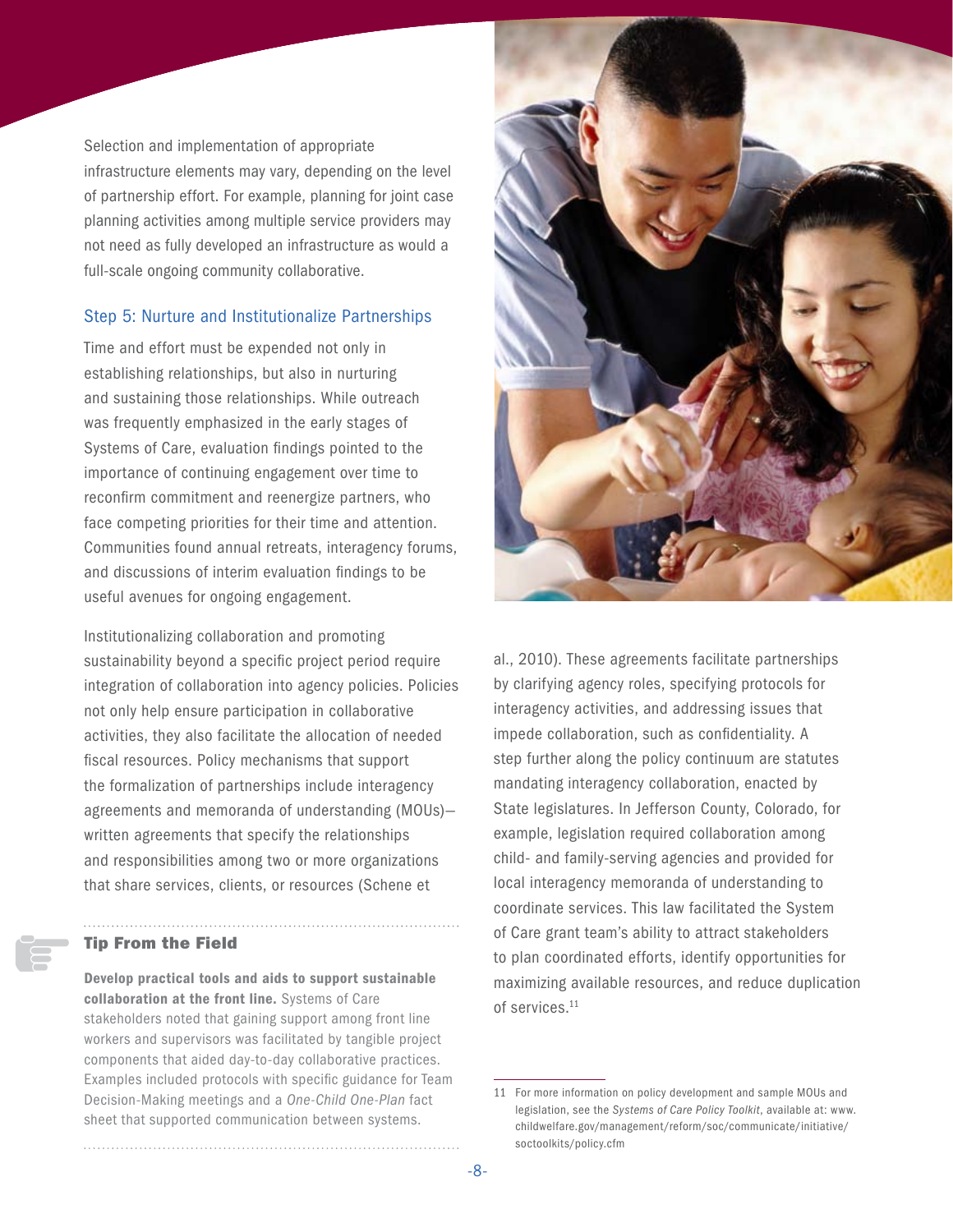Selection and implementation of appropriate infrastructure elements may vary, depending on the level of partnership effort. For example, planning for joint case planning activities among multiple service providers may not need as fully developed an infrastructure as would a full-scale ongoing community collaborative.

#### Step 5: Nurture and Institutionalize Partnerships

Time and effort must be expended not only in establishing relationships, but also in nurturing and sustaining those relationships. While outreach was frequently emphasized in the early stages of Systems of Care, evaluation findings pointed to the importance of continuing engagement over time to reconfirm commitment and reenergize partners, who face competing priorities for their time and attention. Communities found annual retreats, interagency forums, and discussions of interim evaluation findings to be useful avenues for ongoing engagement.

Institutionalizing collaboration and promoting sustainability beyond a specific project period require integration of collaboration into agency policies. Policies not only help ensure participation in collaborative activities, they also facilitate the allocation of needed fiscal resources. Policy mechanisms that support the formalization of partnerships include interagency agreements and memoranda of understanding (MOUs) written agreements that specify the relationships and responsibilities among two or more organizations that share services, clients, or resources (Schene et

#### Tip From the Field

Develop practical tools and aids to support sustainable collaboration at the front line. Systems of Care stakeholders noted that gaining support among front line workers and supervisors was facilitated by tangible project components that aided day-to-day collaborative practices. Examples included protocols with specific guidance for Team Decision-Making meetings and a *One-Child One-Plan* fact sheet that supported communication between systems.



al., 2010). These agreements facilitate partnerships by clarifying agency roles, specifying protocols for interagency activities, and addressing issues that impede collaboration, such as confidentiality. A step further along the policy continuum are statutes mandating interagency collaboration, enacted by State legislatures. In Jefferson County, Colorado, for example, legislation required collaboration among child- and family-serving agencies and provided for local interagency memoranda of understanding to coordinate services. This law facilitated the System of Care grant team's ability to attract stakeholders to plan coordinated efforts, identify opportunities for maximizing available resources, and reduce duplication of services.11

<sup>11</sup> For more information on policy development and sample MOUs and legislation, see the *Systems of Care Policy Toolkit*, available at: [www.](www.childwelfare.gov/management/reform/soc/communicate/initiative/soctoolkits/policy.cfm) [childwelfare.gov/management/reform/soc/communicate/initiative/](www.childwelfare.gov/management/reform/soc/communicate/initiative/soctoolkits/policy.cfm) [soctoolkits/policy.cfm](www.childwelfare.gov/management/reform/soc/communicate/initiative/soctoolkits/policy.cfm)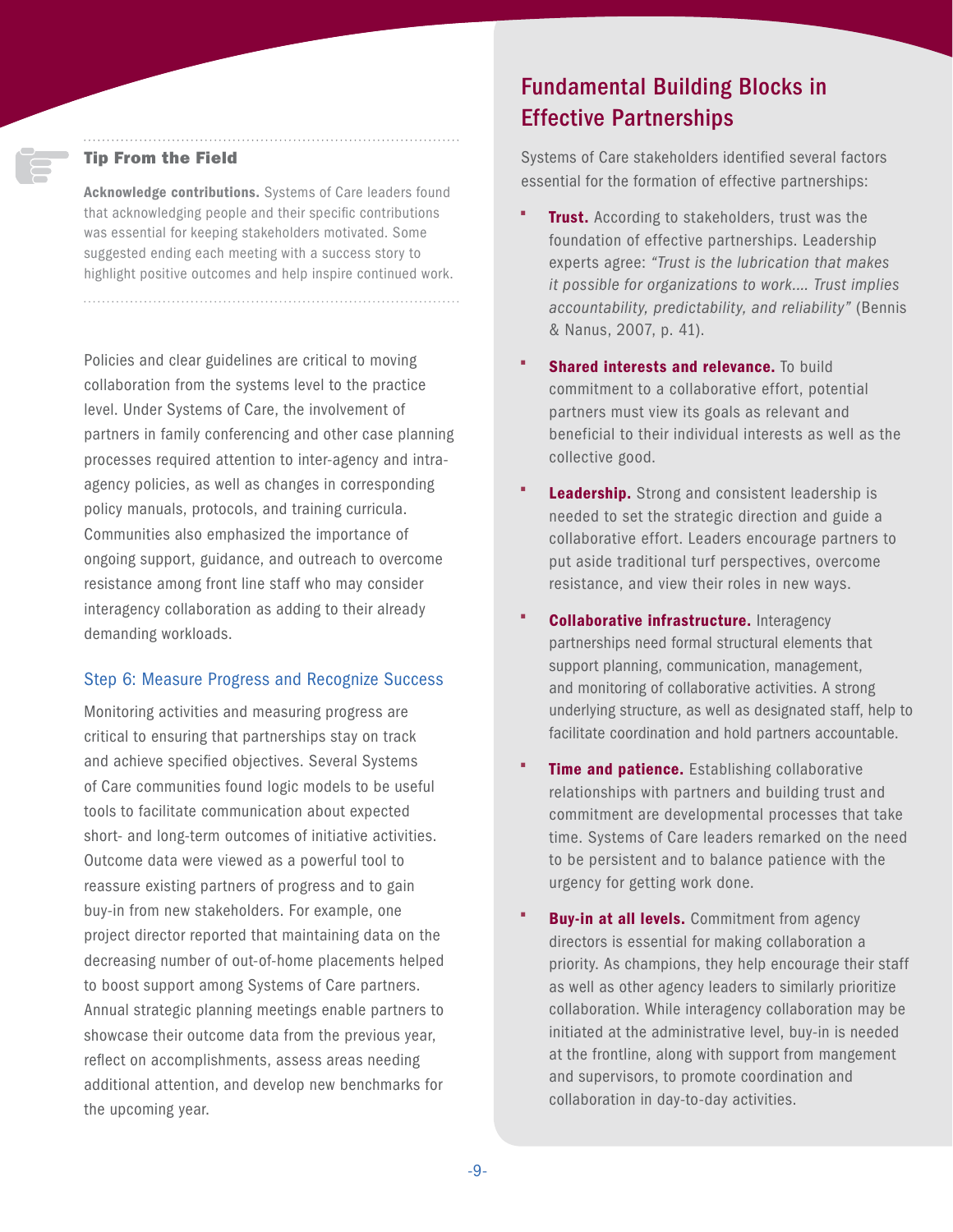#### Tip From the Field

Acknowledge contributions. Systems of Care leaders found that acknowledging people and their specific contributions was essential for keeping stakeholders motivated. Some suggested ending each meeting with a success story to highlight positive outcomes and help inspire continued work.

Policies and clear guidelines are critical to moving collaboration from the systems level to the practice level. Under Systems of Care, the involvement of partners in family conferencing and other case planning processes required attention to inter-agency and intraagency policies, as well as changes in corresponding policy manuals, protocols, and training curricula. Communities also emphasized the importance of ongoing support, guidance, and outreach to overcome resistance among front line staff who may consider interagency collaboration as adding to their already demanding workloads.

#### Step 6: Measure Progress and Recognize Success

Monitoring activities and measuring progress are critical to ensuring that partnerships stay on track and achieve specified objectives. Several Systems of Care communities found logic models to be useful tools to facilitate communication about expected short- and long-term outcomes of initiative activities. Outcome data were viewed as a powerful tool to reassure existing partners of progress and to gain buy-in from new stakeholders. For example, one project director reported that maintaining data on the decreasing number of out-of-home placements helped to boost support among Systems of Care partners. Annual strategic planning meetings enable partners to showcase their outcome data from the previous year, reflect on accomplishments, assess areas needing additional attention, and develop new benchmarks for the upcoming year.

## Fundamental Building Blocks in Effective Partnerships

Systems of Care stakeholders identified several factors essential for the formation of effective partnerships:

- **Trust.** According to stakeholders, trust was the foundation of effective partnerships. Leadership experts agree: *"Trust is the lubrication that makes it possible for organizations to work.… Trust implies accountability, predictability, and reliability"* (Bennis & Nanus, 2007, p. 41).
- **Shared interests and relevance.** To build commitment to a collaborative effort, potential partners must view its goals as relevant and beneficial to their individual interests as well as the collective good.
- **Leadership.** Strong and consistent leadership is needed to set the strategic direction and guide a collaborative effort. Leaders encourage partners to put aside traditional turf perspectives, overcome resistance, and view their roles in new ways.
- **Collaborative infrastructure.** Interagency partnerships need formal structural elements that support planning, communication, management, and monitoring of collaborative activities. A strong underlying structure, as well as designated staff, help to facilitate coordination and hold partners accountable.
- Time and patience. Establishing collaborative relationships with partners and building trust and commitment are developmental processes that take time. Systems of Care leaders remarked on the need to be persistent and to balance patience with the urgency for getting work done.
- **Buy-in at all levels.** Commitment from agency directors is essential for making collaboration a priority. As champions, they help encourage their staff as well as other agency leaders to similarly prioritize collaboration. While interagency collaboration may be initiated at the administrative level, buy-in is needed at the frontline, along with support from mangement and supervisors, to promote coordination and collaboration in day-to-day activities.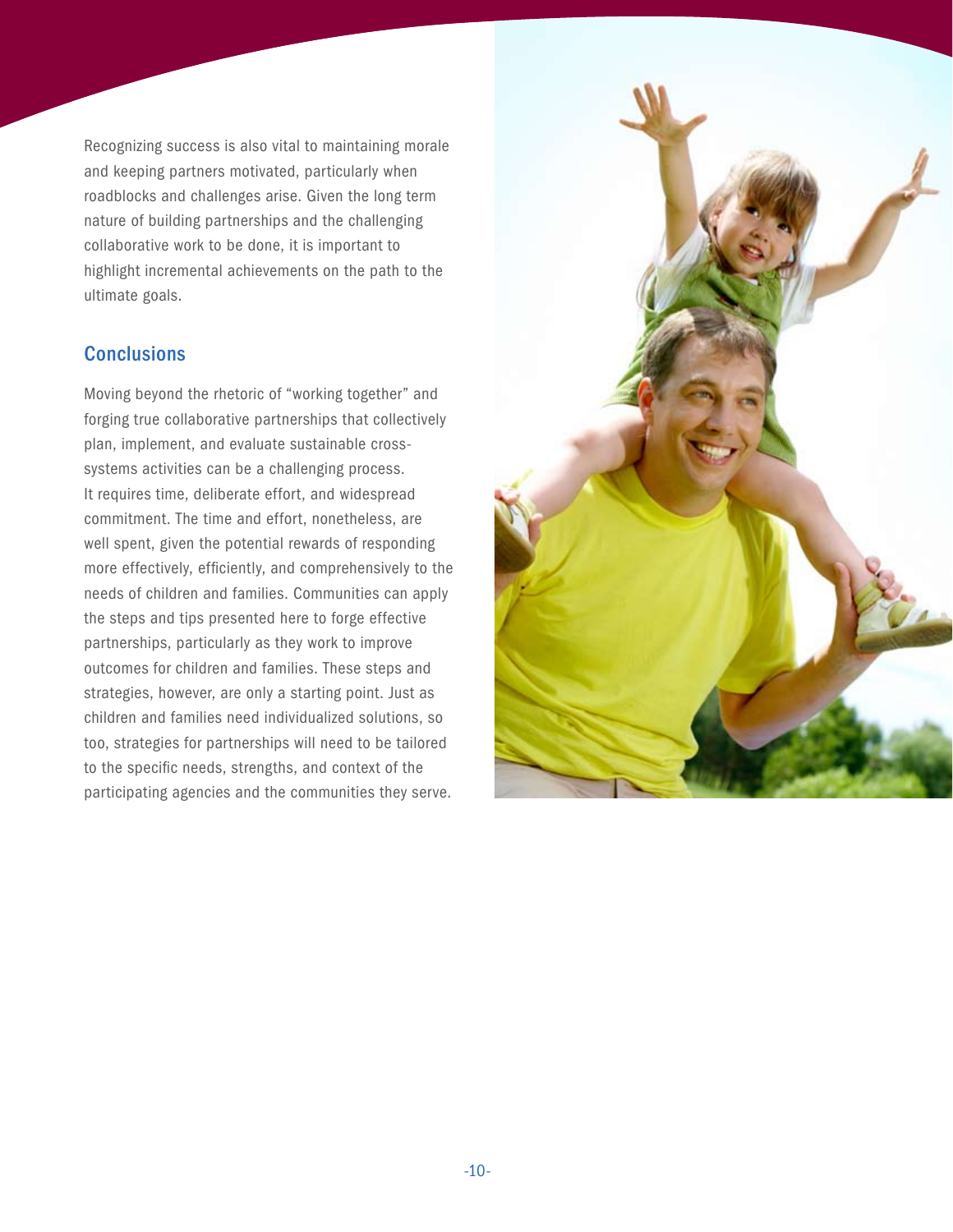Recognizing success is also vital to maintaining morale and keeping partners motivated, particularly when roadblocks and challenges arise. Given the long term nature of building partnerships and the challenging collaborative work to be done, it is important to highlight incremental achievements on the path to the ultimate goals.

### **Conclusions**

Moving beyond the rhetoric of "working together" and forging true collaborative partnerships that collectively plan, implement, and evaluate sustainable crosssystems activities can be a challenging process. It requires time, deliberate effort, and widespread commitment. The time and effort, nonetheless, are well spent, given the potential rewards of responding more effectively, efficiently, and comprehensively to the needs of children and families. Communities can apply the steps and tips presented here to forge effective partnerships, particularly as they work to improve outcomes for children and families. These steps and strategies, however, are only a starting point. Just as children and families need individualized solutions, so too, strategies for partnerships will need to be tailored to the specific needs, strengths, and context of the participating agencies and the communities they serve.

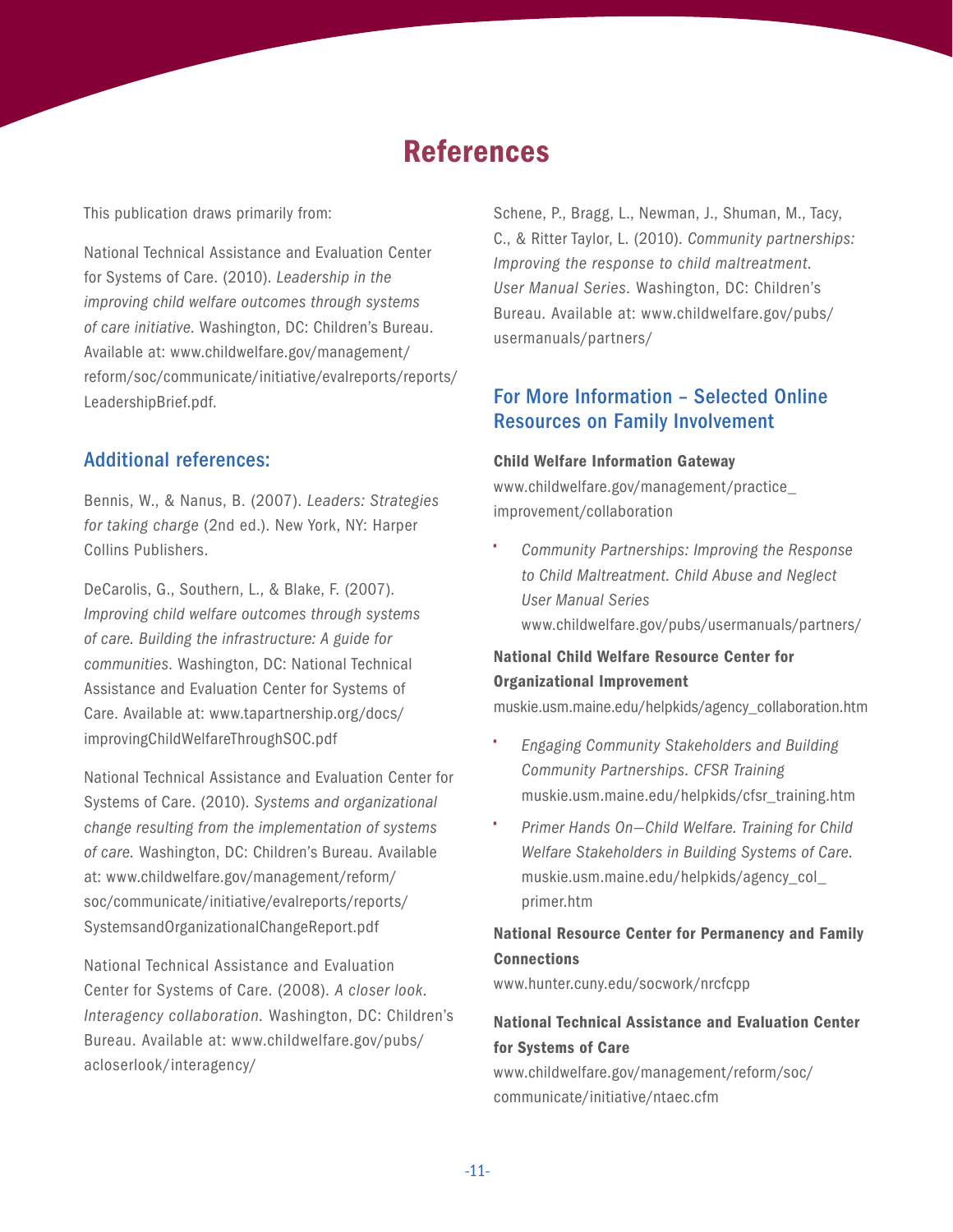## References

This publication draws primarily from:

National Technical Assistance and Evaluation Center for Systems of Care. (2010). *Leadership in the improving child welfare outcomes through systems of care initiative*. Washington, DC: Children's Bureau. Available at: [www.childwelfare.gov/management/](www.childwelfare.gov/management/reform/soc/communicate/initiative/evalreports/reports/LeadershipBrief.pdf) [reform/soc/communicate/initiative/evalreports/reports/](www.childwelfare.gov/management/reform/soc/communicate/initiative/evalreports/reports/LeadershipBrief.pdf) [LeadershipBrief.pdf.](www.childwelfare.gov/management/reform/soc/communicate/initiative/evalreports/reports/LeadershipBrief.pdf)

#### Additional references:

Bennis, W., & Nanus, B. (2007). *Leaders: Strategies for taking charge* (2nd ed.). New York, NY: Harper Collins Publishers.

DeCarolis, G., Southern, L., & Blake, F. (2007). *Improving child welfare outcomes through systems of care. Building the infrastructure: A guide for communities*. Washington, DC: National Technical Assistance and Evaluation Center for Systems of Care. Available at: [www.tapartnership.org/docs/](www.tapartnership.org/docs/improvingChildWelfareThroughSOC.pdf) [improvingChildWelfareThroughSOC.pdf](www.tapartnership.org/docs/improvingChildWelfareThroughSOC.pdf)

National Technical Assistance and Evaluation Center for Systems of Care. (2010). *Systems and organizational change resulting from the implementation of systems of care.* Washington, DC: Children's Bureau. Available at: [www.childwelfare.gov/management/reform/](www.childwelfare.gov/management/reform/soc/communicate/initiative/evalreports/reports/SystemsandOrganizationalChangeReport.pdf) [soc/communicate/initiative/evalreports/reports/](www.childwelfare.gov/management/reform/soc/communicate/initiative/evalreports/reports/SystemsandOrganizationalChangeReport.pdf) [SystemsandOrganizationalChangeReport.pdf](www.childwelfare.gov/management/reform/soc/communicate/initiative/evalreports/reports/SystemsandOrganizationalChangeReport.pdf)

National Technical Assistance and Evaluation Center for Systems of Care. (2008). *A closer look. Interagency collaboration.* Washington, DC: Children's Bureau. Available at: [www.childwelfare.gov/pubs/](www.childwelfare.gov/pubs/acloserlook/interagency/) [acloserlook/interagency/](www.childwelfare.gov/pubs/acloserlook/interagency/)

Schene, P., Bragg, L., Newman, J., Shuman, M., Tacy, C., & Ritter Taylor, L. (2010). *Community partnerships: Improving the response to child maltreatment. User Manual Series.* Washington, DC: Children's Bureau. Available at: [www.childwelfare.gov/pubs/](www.childwelfare.gov/pubs/usermanuals/partners/) [usermanuals/partners/](www.childwelfare.gov/pubs/usermanuals/partners/)

### For More Information – Selected Online Resources on Family Involvement

#### Child Welfare Information Gateway

[www.childwelfare.gov/management/practice\\_](www.childwelfare.gov/management/practice_improvement/collaboration) [improvement/collaboration](www.childwelfare.gov/management/practice_improvement/collaboration)

• *Community Partnerships: Improving the Response to Child Maltreatment. Child Abuse and Neglect User Manual Series* <www.childwelfare.gov/pubs/usermanuals/partners/>

#### National Child Welfare Resource Center for Organizational Improvement

[muskie.usm.maine.edu/helpkids/agency\\_collaboration.htm](muskie.usm.maine.edu/helpkids/agency_collaboration.htm)

- *Engaging Community Stakeholders and Building Community Partnerships. CFSR Training*  [muskie.usm.maine.edu/helpkids/cfsr\\_training.htm](muskie.usm.maine.edu/helpkids/cfsr_training.htm)
- *Primer Hands On—Child Welfare. Training for Child Welfare Stakeholders in Building Systems of Care.* [muskie.usm.maine.edu/helpkids/agency\\_col\\_](muskie.usm.maine.edu/helpkids/agency_col_primer.htm) [primer.htm](muskie.usm.maine.edu/helpkids/agency_col_primer.htm)

### National Resource Center for Permanency and Family **Connections**

<www.hunter.cuny.edu/socwork/nrcfcpp>

#### National Technical Assistance and Evaluation Center for Systems of Care

[www.childwelfare.gov/management/reform/soc/](www.childwelfare.gov/management/reform/soc/communicate/initiative/ntaec.cfm) [communicate/initiative/ntaec.cfm](www.childwelfare.gov/management/reform/soc/communicate/initiative/ntaec.cfm)